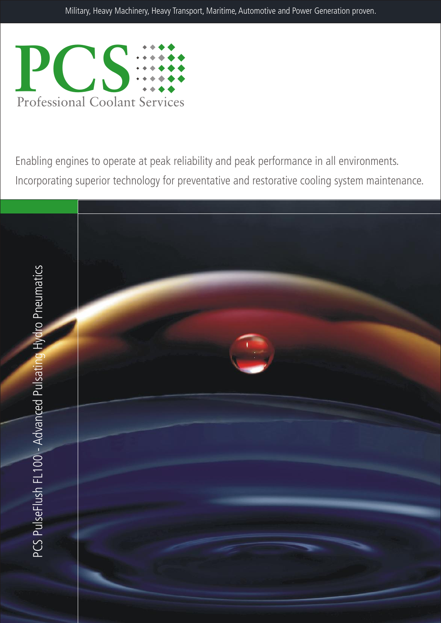

Enabling engines to operate at peak reliability and peak performance in all environments. Incorporating superior technology for preventative and restorative cooling system maintenance.

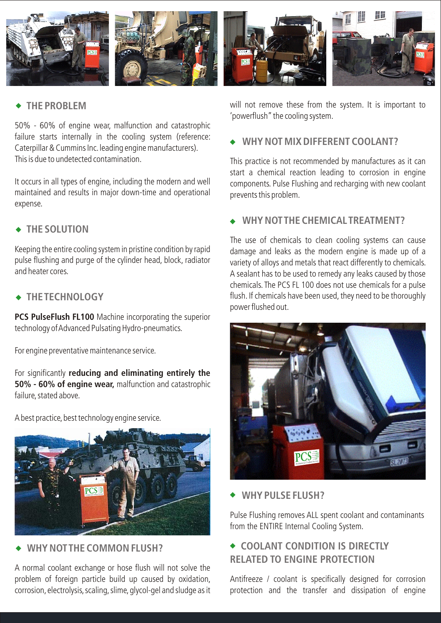

# **THE PROBLEM**

50% - 60% of engine wear, malfunction and catastrophic failure starts internally in the cooling system (reference: Caterpillar & Cummins Inc.leading engine manufacturers). This is due to undetected contamination.

It occurs in all types of engine, including the modern and well maintained and results in major down-time and operational expense.

# **THE SOLUTION**

Keeping the entire cooling system in pristine condition by rapid pulse flushing and purge of the cylinder head, block, radiator and heater cores.

# **THE TECHNOLOGY**

**PCS PulseFlush FL100** Machine incorporating the superior technology of Advanced Pulsating Hydro-pneumatics.

For engine preventative maintenance service.

For significantly **reducing and eliminating entirely the 50% - 60% of engine wear,** malfunction and catastrophic failure, stated above.

A best practice, best technology engine service.



# WHY NOT THE COMMON FLUSH?

A normal coolant exchange or hose flush will not solve the problem of foreign particle build up caused by oxidation, corrosion, electrolysis, scaling, slime, glycol-gel and sludge as it will not remove these from the system. It is important to 'powerflush" the cooling system.

## **WHY NOT MIX DIFFERENT COOLANT?**

This practice is not recommended by manufactures as it can start a chemical reaction leading to corrosion in engine components. Pulse Flushing and recharging with new coolant prevents this problem.

### **WHY NOT THE CHEMICAL TREATMENT?**

The use of chemicals to clean cooling systems can cause damage and leaks as the modern engine is made up of a variety of alloys and metals that react differently to chemicals. A sealant has to be used to remedy any leaks caused by those chemicals. The PCS FL 100 does not use chemicals for a pulse flush. If chemicals have been used, they need to be thoroughly power flushed out.



#### **WHY PULSE FLUSH?**

Pulse Flushing removes ALL spent coolant and contaminants from the ENTIRE Internal Cooling System.

# **COOLANT CONDITION IS DIRECTLY RELATED TO ENGINE PROTECTION**

Antifreeze / coolant is specifically designed for corrosion protection and the transfer and dissipation of engine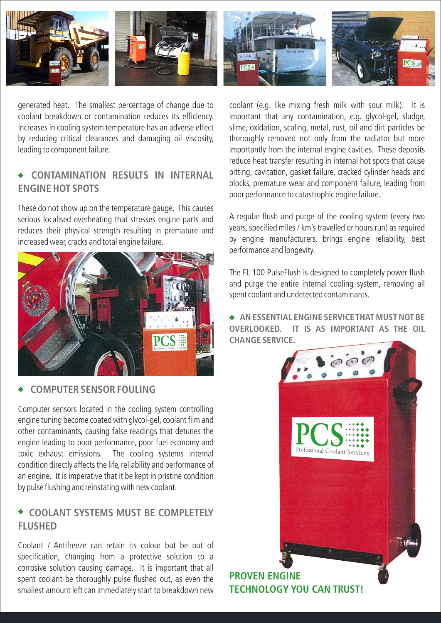

generated heat. The smallest percentage of change due to coolant breakdown or contamination reduces its efficiency. Increases in cooling system temperature has an adverse effect by reducing critical clearances and damaging oil viscosity, leading to component failure.

# **CONTAMINATION RESULTS IN INTERNAL ENGINE HOT SPOTS**

These do not show up on the temperature gauge. This causes serious localised overheating that stresses engine parts and reduces their physical strength resulting in premature and increased wear, cracks and total engine failure.



#### **COMPUTER SENSOR FOULING**

Computer sensors located in the cooling system controlling engine tuning become coated with glycol-gel, coolant film and other contaminants, causing false readings that detunes the engine leading to poor performance, poor fuel economy and toxic exhaust emissions. The cooling systems internal condition directly affects the life, reliability and performance of an engine. It is imperative that it be kept in pristine condition by pulse flushing and reinstating with new coolant.

# **COOLANT SYSTEMS MUST BE COMPLETELY FLUSHED**

Coolant / Antifreeze can retain its colour but be out of specification, changing from a protective solution to a corrosive solution causing damage. It is important that all spent coolant be thoroughly pulse flushed out, as even the smallest amount left can immediately start to breakdown new



coolant (e.g. like mixing fresh milk with sour milk). It is important that any contamination, e.g. glycol-gel, sludge, slime, oxidation, scaling, metal, rust, oil and dirt particles be thoroughly removed not only from the radiator but more importantly from the internal engine cavities. These deposits reduce heat transfer resulting in internal hot spots that cause pitting, cavitation, gasket failure, cracked cylinder heads and blocks, premature wear and component failure, leading from poor performance to catastrophic engine failure.

A regular flush and purge of the cooling system (every two years, specified miles / km's travelled or hours run) as required by engine manufacturers, brings engine reliability, best performance and longevity.

The FL 100 PulseFlush is designed to completely power flush and purge the entire internal cooling system, removing all spent coolant and undetected contaminants.

**AN ESSENTIAL ENGINE SERVICE THAT MUST NOT BE OVERLOOKED. IT IS AS IMPORTANT AS THE OIL CHANGE SERVICE.**